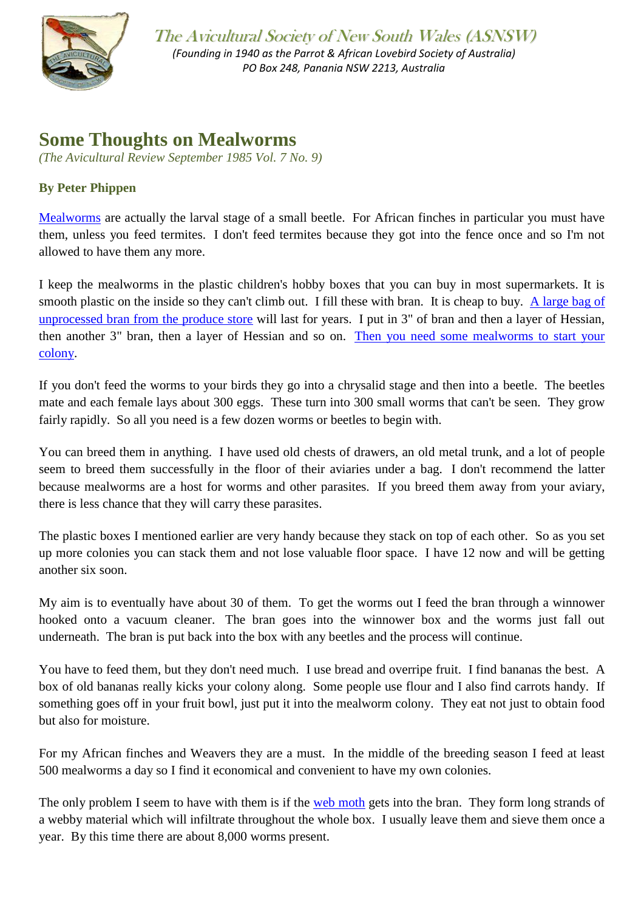

The Avicultural Society of New South Wales (ASNSW) *(Founding in 1940 as the Parrot & African Lovebird Society of Australia) PO Box 248, Panania NSW 2213, Australia*

## **Some Thoughts on Mealworms**

*(The Avicultural Review September 1985 Vol. 7 No. 9)*

## **By Peter Phippen**

[Mealworms](http://en.wikipedia.org/wiki/Mealworm) are actually the larval stage of a small beetle. For African finches in particular you must have them, unless you feed termites. I don't feed termites because they got into the fence once and so I'm not allowed to have them any more.

I keep the mealworms in the plastic children's hobby boxes that you can buy in most supermarkets. It is smooth plastic on the inside so they can't climb out. I fill these with bran. It is cheap to buy. [A large bag of](http://aviculturalsocietynsw.org/_PDFs/AviAccessories_mealworms.pdf)  [unprocessed bran from the produce store](http://aviculturalsocietynsw.org/_PDFs/AviAccessories_mealworms.pdf) will last for years. I put in 3" of bran and then a layer of Hessian, then another 3" bran, then a layer of Hessian and so on. [Then you need some mealworms to start your](http://aviculturalsocietynsw.org/_PDFs/AviAccessories_mealworms.pdf)  [colony.](http://aviculturalsocietynsw.org/_PDFs/AviAccessories_mealworms.pdf)

If you don't feed the worms to your birds they go into a chrysalid stage and then into a beetle. The beetles mate and each female lays about 300 eggs. These turn into 300 small worms that can't be seen. They grow fairly rapidly. So all you need is a few dozen worms or beetles to begin with.

You can breed them in anything. I have used old chests of drawers, an old metal trunk, and a lot of people seem to breed them successfully in the floor of their aviaries under a bag. I don't recommend the latter because mealworms are a host for worms and other parasites. If you breed them away from your aviary, there is less chance that they will carry these parasites.

The plastic boxes I mentioned earlier are very handy because they stack on top of each other. So as you set up more colonies you can stack them and not lose valuable floor space. I have 12 now and will be getting another six soon.

My aim is to eventually have about 30 of them. To get the worms out I feed the bran through a winnower hooked onto a vacuum cleaner. The bran goes into the winnower box and the worms just fall out underneath. The bran is put back into the box with any beetles and the process will continue.

You have to feed them, but they don't need much. I use bread and overripe fruit. I find bananas the best. A box of old bananas really kicks your colony along. Some people use flour and I also find carrots handy. If something goes off in your fruit bowl, just put it into the mealworm colony. They eat not just to obtain food but also for moisture.

For my African finches and Weavers they are a must. In the middle of the breeding season I feed at least 500 mealworms a day so I find it economical and convenient to have my own colonies.

The only problem I seem to have with them is if the [web moth](http://en.wikipedia.org/wiki/Cotton_Web_Spinner) gets into the bran. They form long strands of a webby material which will infiltrate throughout the whole box. I usually leave them and sieve them once a year. By this time there are about 8,000 worms present.